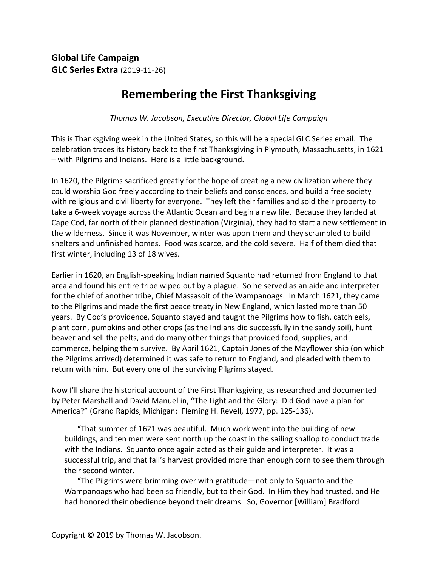## **Remembering the First Thanksgiving**

**Thomas W. Jacobson, Executive Director, Global Life Campaign** 

This is Thanksgiving week in the United States, so this will be a special GLC Series email. The celebration traces its history back to the first Thanksgiving in Plymouth, Massachusetts, in 1621 – with Pilgrims and Indians. Here is a little background.

In 1620, the Pilgrims sacrificed greatly for the hope of creating a new civilization where they could worship God freely according to their beliefs and consciences, and build a free society with religious and civil liberty for everyone. They left their families and sold their property to take a 6-week voyage across the Atlantic Ocean and begin a new life. Because they landed at Cape Cod, far north of their planned destination (Virginia), they had to start a new settlement in the wilderness. Since it was November, winter was upon them and they scrambled to build shelters and unfinished homes. Food was scarce, and the cold severe. Half of them died that first winter, including 13 of 18 wives.

Earlier in 1620, an English-speaking Indian named Squanto had returned from England to that area and found his entire tribe wiped out by a plague. So he served as an aide and interpreter for the chief of another tribe, Chief Massasoit of the Wampanoags. In March 1621, they came to the Pilgrims and made the first peace treaty in New England, which lasted more than 50 years. By God's providence, Squanto stayed and taught the Pilgrims how to fish, catch eels, plant corn, pumpkins and other crops (as the Indians did successfully in the sandy soil), hunt beaver and sell the pelts, and do many other things that provided food, supplies, and commerce, helping them survive. By April 1621, Captain Jones of the Mayflower ship (on which the Pilgrims arrived) determined it was safe to return to England, and pleaded with them to return with him. But every one of the surviving Pilgrims stayed.

Now I'll share the historical account of the First Thanksgiving, as researched and documented by Peter Marshall and David Manuel in, "The Light and the Glory: Did God have a plan for America?" (Grand Rapids, Michigan: Fleming H. Revell, 1977, pp. 125-136).

"That summer of 1621 was beautiful. Much work went into the building of new buildings, and ten men were sent north up the coast in the sailing shallop to conduct trade with the Indians. Squanto once again acted as their guide and interpreter. It was a successful trip, and that fall's harvest provided more than enough corn to see them through their second winter.

"The Pilgrims were brimming over with gratitude—not only to Squanto and the Wampanoags who had been so friendly, but to their God. In Him they had trusted, and He had honored their obedience beyond their dreams. So, Governor [William] Bradford